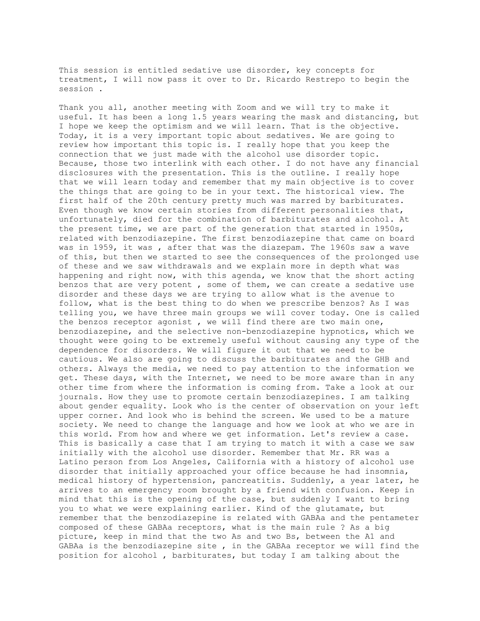This session is entitled sedative use disorder, key concepts for treatment, I will now pass it over to Dr. Ricardo Restrepo to begin the session .

Thank you all, another meeting with Zoom and we will try to make it useful. It has been a long 1.5 years wearing the mask and distancing, but I hope we keep the optimism and we will learn. That is the objective. Today, it is a very important topic about sedatives. We are going to review how important this topic is. I really hope that you keep the connection that we just made with the alcohol use disorder topic. Because, those two interlink with each other. I do not have any financial disclosures with the presentation. This is the outline. I really hope that we will learn today and remember that my main objective is to cover the things that are going to be in your text. The historical view. The first half of the 20th century pretty much was marred by barbiturates. Even though we know certain stories from different personalities that, unfortunately, died for the combination of barbiturates and alcohol. At the present time, we are part of the generation that started in 1950s, related with benzodiazepine. The first benzodiazepine that came on board was in 1959, it was , after that was the diazepam. The 1960s saw a wave of this, but then we started to see the consequences of the prolonged use of these and we saw withdrawals and we explain more in depth what was happening and right now, with this agenda, we know that the short acting benzos that are very potent , some of them, we can create a sedative use disorder and these days we are trying to allow what is the avenue to follow, what is the best thing to do when we prescribe benzos? As I was telling you, we have three main groups we will cover today. One is called the benzos receptor agonist , we will find there are two main one, benzodiazepine, and the selective non-benzodiazepine hypnotics, which we thought were going to be extremely useful without causing any type of the dependence for disorders. We will figure it out that we need to be cautious. We also are going to discuss the barbiturates and the GHB and others. Always the media, we need to pay attention to the information we get. These days, with the Internet, we need to be more aware than in any other time from where the information is coming from. Take a look at our journals. How they use to promote certain benzodiazepines. I am talking about gender equality. Look who is the center of observation on your left upper corner. And look who is behind the screen. We used to be a mature society. We need to change the language and how we look at who we are in this world. From how and where we get information. Let's review a case. This is basically a case that I am trying to match it with a case we saw initially with the alcohol use disorder. Remember that Mr. RR was a Latino person from Los Angeles, California with a history of alcohol use disorder that initially approached your office because he had insomnia, medical history of hypertension, pancreatitis. Suddenly, a year later, he arrives to an emergency room brought by a friend with confusion. Keep in mind that this is the opening of the case, but suddenly I want to bring you to what we were explaining earlier. Kind of the glutamate, but remember that the benzodiazepine is related with GABAa and the pentameter composed of these GABAa receptors, what is the main rule ? As a big picture, keep in mind that the two As and two Bs, between the A1 and GABAa is the benzodiazepine site , in the GABAa receptor we will find the position for alcohol , barbiturates, but today I am talking about the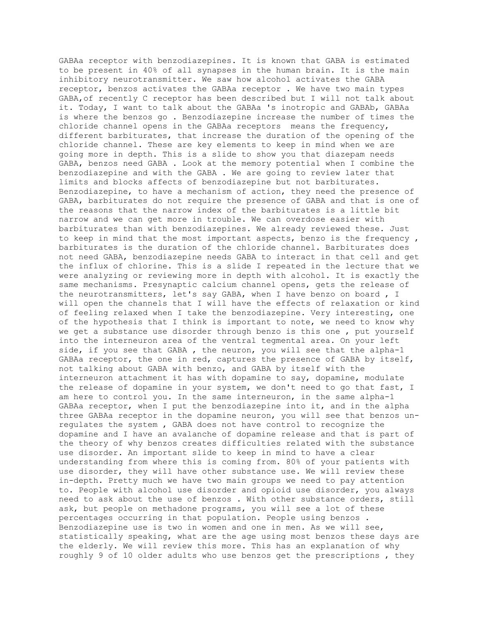GABAa receptor with benzodiazepines. It is known that GABA is estimated to be present in 40% of all synapses in the human brain. It is the main inhibitory neurotransmitter. We saw how alcohol activates the GABA receptor, benzos activates the GABAa receptor . We have two main types GABA,of recently C receptor has been described but I will not talk about it. Today, I want to talk about the GABAa 's inotropic and GABAb, GABAa is where the benzos go . Benzodiazepine increase the number of times the chloride channel opens in the GABAa receptors means the frequency, different barbiturates, that increase the duration of the opening of the chloride channel. These are key elements to keep in mind when we are going more in depth. This is a slide to show you that diazepam needs GABA, benzos need GABA . Look at the memory potential when I combine the benzodiazepine and with the GABA . We are going to review later that limits and blocks affects of benzodiazepine but not barbiturates. Benzodiazepine, to have a mechanism of action, they need the presence of GABA, barbiturates do not require the presence of GABA and that is one of the reasons that the narrow index of the barbiturates is a little bit narrow and we can get more in trouble. We can overdose easier with barbiturates than with benzodiazepines. We already reviewed these. Just to keep in mind that the most important aspects, benzo is the frequency, barbiturates is the duration of the chloride channel. Barbiturates does not need GABA, benzodiazepine needs GABA to interact in that cell and get the influx of chlorine. This is a slide I repeated in the lecture that we were analyzing or reviewing more in depth with alcohol. It is exactly the same mechanisms. Presynaptic calcium channel opens, gets the release of the neurotransmitters, let's say GABA, when I have benzo on board , I will open the channels that I will have the effects of relaxation or kind of feeling relaxed when I take the benzodiazepine. Very interesting, one of the hypothesis that I think is important to note, we need to know why we get a substance use disorder through benzo is this one , put yourself into the interneuron area of the ventral tegmental area. On your left side, if you see that GABA , the neuron, you will see that the alpha-1 GABAa receptor, the one in red, captures the presence of GABA by itself, not talking about GABA with benzo, and GABA by itself with the interneuron attachment it has with dopamine to say, dopamine, modulate the release of dopamine in your system, we don't need to go that fast, I am here to control you. In the same interneuron, in the same alpha-1 GABAa receptor, when I put the benzodiazepine into it, and in the alpha three GABAa receptor in the dopamine neuron, you will see that benzos unregulates the system , GABA does not have control to recognize the dopamine and I have an avalanche of dopamine release and that is part of the theory of why benzos creates difficulties related with the substance use disorder. An important slide to keep in mind to have a clear understanding from where this is coming from. 80% of your patients with use disorder, they will have other substance use. We will review these in-depth. Pretty much we have two main groups we need to pay attention to. People with alcohol use disorder and opioid use disorder, you always need to ask about the use of benzos . With other substance orders, still ask, but people on methadone programs, you will see a lot of these percentages occurring in that population. People using benzos . Benzodiazepine use is two in women and one in men. As we will see, statistically speaking, what are the age using most benzos these days are the elderly. We will review this more. This has an explanation of why roughly 9 of 10 older adults who use benzos get the prescriptions , they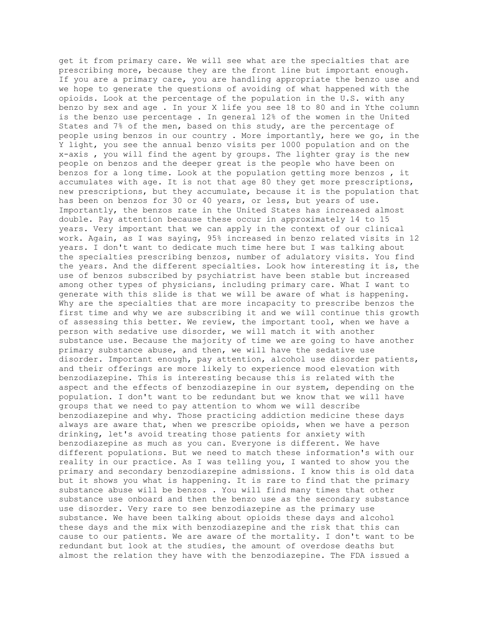get it from primary care. We will see what are the specialties that are prescribing more, because they are the front line but important enough. If you are a primary care, you are handling appropriate the benzo use and we hope to generate the questions of avoiding of what happened with the opioids. Look at the percentage of the population in the U.S. with any benzo by sex and age . In your X life you see 18 to 80 and in Ythe column is the benzo use percentage . In general 12% of the women in the United States and 7% of the men, based on this study, are the percentage of people using benzos in our country . More importantly, here we go, in the Y light, you see the annual benzo visits per 1000 population and on the x-axis , you will find the agent by groups. The lighter gray is the new people on benzos and the deeper great is the people who have been on benzos for a long time. Look at the population getting more benzos , it accumulates with age. It is not that age 80 they get more prescriptions, new prescriptions, but they accumulate, because it is the population that has been on benzos for 30 or 40 years, or less, but years of use. Importantly, the benzos rate in the United States has increased almost double. Pay attention because these occur in approximately 14 to 15 years. Very important that we can apply in the context of our clinical work. Again, as I was saying, 95% increased in benzo related visits in 12 years. I don't want to dedicate much time here but I was talking about the specialties prescribing benzos, number of adulatory visits. You find the years. And the different specialties. Look how interesting it is, the use of benzos subscribed by psychiatrist have been stable but increased among other types of physicians, including primary care. What I want to generate with this slide is that we will be aware of what is happening. Why are the specialties that are more incapacity to prescribe benzos the first time and why we are subscribing it and we will continue this growth of assessing this better. We review, the important tool, when we have a person with sedative use disorder, we will match it with another substance use. Because the majority of time we are going to have another primary substance abuse, and then, we will have the sedative use disorder. Important enough, pay attention, alcohol use disorder patients, and their offerings are more likely to experience mood elevation with benzodiazepine. This is interesting because this is related with the aspect and the effects of benzodiazepine in our system, depending on the population. I don't want to be redundant but we know that we will have groups that we need to pay attention to whom we will describe benzodiazepine and why. Those practicing addiction medicine these days always are aware that, when we prescribe opioids, when we have a person drinking, let's avoid treating those patients for anxiety with benzodiazepine as much as you can. Everyone is different. We have different populations. But we need to match these information's with our reality in our practice. As I was telling you, I wanted to show you the primary and secondary benzodiazepine admissions. I know this is old data but it shows you what is happening. It is rare to find that the primary substance abuse will be benzos . You will find many times that other substance use onboard and then the benzo use as the secondary substance use disorder. Very rare to see benzodiazepine as the primary use substance. We have been talking about opioids these days and alcohol these days and the mix with benzodiazepine and the risk that this can cause to our patients. We are aware of the mortality. I don't want to be redundant but look at the studies, the amount of overdose deaths but almost the relation they have with the benzodiazepine. The FDA issued a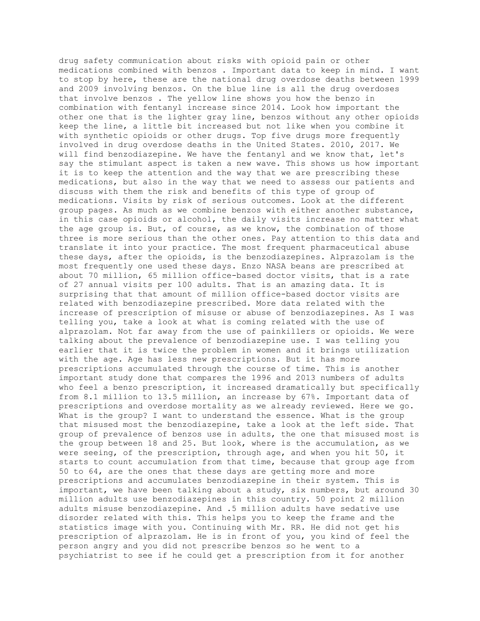drug safety communication about risks with opioid pain or other medications combined with benzos . Important data to keep in mind. I want to stop by here, these are the national drug overdose deaths between 1999 and 2009 involving benzos. On the blue line is all the drug overdoses that involve benzos . The yellow line shows you how the benzo in combination with fentanyl increase since 2014. Look how important the other one that is the lighter gray line, benzos without any other opioids keep the line, a little bit increased but not like when you combine it with synthetic opioids or other drugs. Top five drugs more frequently involved in drug overdose deaths in the United States. 2010, 2017. We will find benzodiazepine. We have the fentanyl and we know that, let's say the stimulant aspect is taken a new wave. This shows us how important it is to keep the attention and the way that we are prescribing these medications, but also in the way that we need to assess our patients and discuss with them the risk and benefits of this type of group of medications. Visits by risk of serious outcomes. Look at the different group pages. As much as we combine benzos with either another substance, in this case opioids or alcohol, the daily visits increase no matter what the age group is. But, of course, as we know, the combination of those three is more serious than the other ones. Pay attention to this data and translate it into your practice. The most frequent pharmaceutical abuse these days, after the opioids, is the benzodiazepines. Alprazolam is the most frequently one used these days. Enzo NASA beans are prescribed at about 70 million, 65 million office-based doctor visits, that is a rate of 27 annual visits per 100 adults. That is an amazing data. It is surprising that that amount of million office-based doctor visits are related with benzodiazepine prescribed. More data related with the increase of prescription of misuse or abuse of benzodiazepines. As I was telling you, take a look at what is coming related with the use of alprazolam. Not far away from the use of painkillers or opioids. We were talking about the prevalence of benzodiazepine use. I was telling you earlier that it is twice the problem in women and it brings utilization with the age. Age has less new prescriptions. But it has more prescriptions accumulated through the course of time. This is another important study done that compares the 1996 and 2013 numbers of adults who feel a benzo prescription, it increased dramatically but specifically from 8.1 million to 13.5 million, an increase by 67%. Important data of prescriptions and overdose mortality as we already reviewed. Here we go. What is the group? I want to understand the essence. What is the group that misused most the benzodiazepine, take a look at the left side. That group of prevalence of benzos use in adults, the one that misused most is the group between 18 and 25. But look, where is the accumulation, as we were seeing, of the prescription, through age, and when you hit 50, it starts to count accumulation from that time, because that group age from 50 to 64, are the ones that these days are getting more and more prescriptions and accumulates benzodiazepine in their system. This is important, we have been talking about a study, six numbers, but around 30 million adults use benzodiazepines in this country. 50 point 2 million adults misuse benzodiazepine. And .5 million adults have sedative use disorder related with this. This helps you to keep the frame and the statistics image with you. Continuing with Mr. RR. He did not get his prescription of alprazolam. He is in front of you, you kind of feel the person angry and you did not prescribe benzos so he went to a psychiatrist to see if he could get a prescription from it for another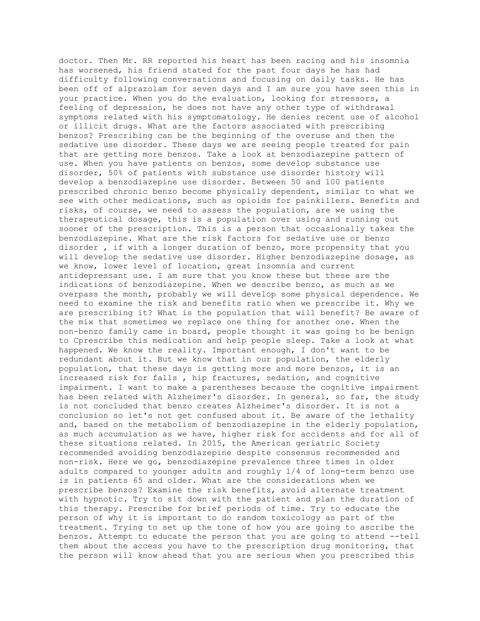doctor. Then Mr. RR reported his heart has been racing and his insomnia has worsened, his friend stated for the past four days he has had difficulty following conversations and focusing on daily tasks. He has been off of alprazolam for seven days and I am sure you have seen this in your practice. When you do the evaluation, looking for stressors, a feeling of depression, he does not have any other type of withdrawal symptoms related with his symptomatology. He denies recent use of alcohol or illicit drugs. What are the factors associated with prescribing benzos? Prescribing can be the beginning of the overuse and then the sedative use disorder. These days we are seeing people treated for pain that are getting more benzos. Take a look at benzodiazepine pattern of use. When you have patients on benzos, some develop substance use disorder, 50% of patients with substance use disorder history will develop a benzodiazepine use disorder. Between 50 and 100 patients prescribed chronic benzo become physically dependent, similar to what we see with other medications, such as opioids for painkillers. Benefits and risks, of course, we need to assess the population, are we using the therapeutical dosage, this is a population over using and running out sooner of the prescription. This is a person that occasionally takes the benzodiazepine. What are the risk factors for sedative use or benzo disorder , if with a longer duration of benzo, more propensity that you will develop the sedative use disorder. Higher benzodiazepine dosage, as we know, lower level of location, great insomnia and current antidepressant use. I am sure that you know these but these are the indications of benzodiazepine. When we describe benzo, as much as we overpass the month, probably we will develop some physical dependence. We need to examine the risk and benefits ratio when we prescribe it. Why we are prescribing it? What is the population that will benefit? Be aware of the mix that sometimes we replace one thing for another one. When the non-benzo family came in board, people thought it was going to be benign to Cprescribe this medication and help people sleep. Take a look at what happened. We know the reality. Important enough, I don't want to be redundant about it. But we know that in our population, the elderly population, that these days is getting more and more benzos, it is an increased risk for falls , hip fractures, sedation, and cognitive impairment. I want to make a parentheses because the cognitive impairment has been related with Alzheimer's disorder. In general, so far, the study is not concluded that benzo creates Alzheimer's disorder. It is not a conclusion so let's not get confused about it. Be aware of the lethality and, based on the metabolism of benzodiazepine in the elderly population, as much accumulation as we have, higher risk for accidents and for all of these situations related. In 2015, the American geriatric Society recommended avoiding benzodiazepine despite consensus recommended and non-risk. Here we go, benzodiazepine prevalence three times in older adults compared to younger adults and roughly 1/4 of long-term benzo use is in patients 65 and older. What are the considerations when we prescribe benzos? Examine the risk benefits, avoid alternate treatment with hypnotic. Try to sit down with the patient and plan the duration of this therapy. Prescribe for brief periods of time. Try to educate the person of why it is important to do random toxicology as part of the treatment. Trying to set up the tone of how you are going to ascribe the benzos. Attempt to educate the person that you are going to attend --tell them about the access you have to the prescription drug monitoring, that the person will know ahead that you are serious when you prescribed this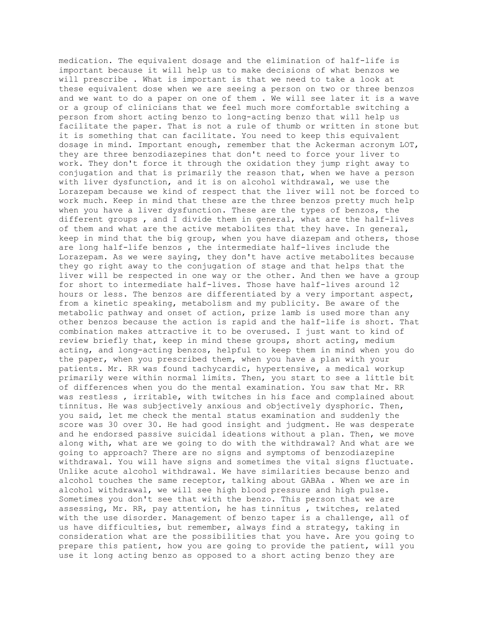medication. The equivalent dosage and the elimination of half-life is important because it will help us to make decisions of what benzos we will prescribe . What is important is that we need to take a look at these equivalent dose when we are seeing a person on two or three benzos and we want to do a paper on one of them . We will see later it is a wave or a group of clinicians that we feel much more comfortable switching a person from short acting benzo to long-acting benzo that will help us facilitate the paper. That is not a rule of thumb or written in stone but it is something that can facilitate. You need to keep this equivalent dosage in mind. Important enough, remember that the Ackerman acronym LOT, they are three benzodiazepines that don't need to force your liver to work. They don't force it through the oxidation they jump right away to conjugation and that is primarily the reason that, when we have a person with liver dysfunction, and it is on alcohol withdrawal, we use the Lorazepam because we kind of respect that the liver will not be forced to work much. Keep in mind that these are the three benzos pretty much help when you have a liver dysfunction. These are the types of benzos, the different groups , and I divide them in general, what are the half-lives of them and what are the active metabolites that they have. In general, keep in mind that the big group, when you have diazepam and others, those are long half-life benzos , the intermediate half-lives include the Lorazepam. As we were saying, they don't have active metabolites because they go right away to the conjugation of stage and that helps that the liver will be respected in one way or the other. And then we have a group for short to intermediate half-lives. Those have half-lives around 12 hours or less. The benzos are differentiated by a very important aspect, from a kinetic speaking, metabolism and my publicity. Be aware of the metabolic pathway and onset of action, prize lamb is used more than any other benzos because the action is rapid and the half-life is short. That combination makes attractive it to be overused. I just want to kind of review briefly that, keep in mind these groups, short acting, medium acting, and long-acting benzos, helpful to keep them in mind when you do the paper, when you prescribed them, when you have a plan with your patients. Mr. RR was found tachycardic, hypertensive, a medical workup primarily were within normal limits. Then, you start to see a little bit of differences when you do the mental examination. You saw that Mr. RR was restless , irritable, with twitches in his face and complained about tinnitus. He was subjectively anxious and objectively dysphoric. Then, you said, let me check the mental status examination and suddenly the score was 30 over 30. He had good insight and judgment. He was desperate and he endorsed passive suicidal ideations without a plan. Then, we move along with, what are we going to do with the withdrawal? And what are we going to approach? There are no signs and symptoms of benzodiazepine withdrawal. You will have signs and sometimes the vital signs fluctuate. Unlike acute alcohol withdrawal. We have similarities because benzo and alcohol touches the same receptor, talking about GABAa . When we are in alcohol withdrawal, we will see high blood pressure and high pulse. Sometimes you don't see that with the benzo. This person that we are assessing, Mr. RR, pay attention, he has tinnitus , twitches, related with the use disorder. Management of benzo taper is a challenge, all of us have difficulties, but remember, always find a strategy, taking in consideration what are the possibilities that you have. Are you going to prepare this patient, how you are going to provide the patient, will you use it long acting benzo as opposed to a short acting benzo they are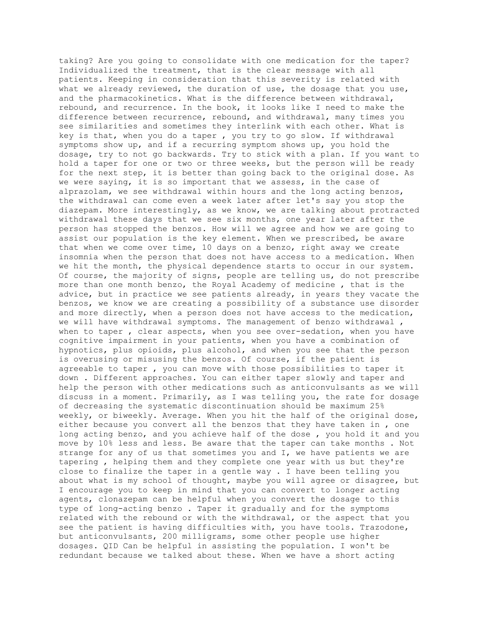taking? Are you going to consolidate with one medication for the taper? Individualized the treatment, that is the clear message with all patients. Keeping in consideration that this severity is related with what we already reviewed, the duration of use, the dosage that you use, and the pharmacokinetics. What is the difference between withdrawal, rebound, and recurrence. In the book, it looks like I need to make the difference between recurrence, rebound, and withdrawal, many times you see similarities and sometimes they interlink with each other. What is key is that, when you do a taper , you try to go slow. If withdrawal symptoms show up, and if a recurring symptom shows up, you hold the dosage, try to not go backwards. Try to stick with a plan. If you want to hold a taper for one or two or three weeks, but the person will be ready for the next step, it is better than going back to the original dose. As we were saying, it is so important that we assess, in the case of alprazolam, we see withdrawal within hours and the long acting benzos, the withdrawal can come even a week later after let's say you stop the diazepam. More interestingly, as we know, we are talking about protracted withdrawal these days that we see six months, one year later after the person has stopped the benzos. How will we agree and how we are going to assist our population is the key element. When we prescribed, be aware that when we come over time, 10 days on a benzo, right away we create insomnia when the person that does not have access to a medication. When we hit the month, the physical dependence starts to occur in our system. Of course, the majority of signs, people are telling us, do not prescribe more than one month benzo, the Royal Academy of medicine , that is the advice, but in practice we see patients already, in years they vacate the benzos, we know we are creating a possibility of a substance use disorder and more directly, when a person does not have access to the medication, we will have withdrawal symptoms. The management of benzo withdrawal, when to taper, clear aspects, when you see over-sedation, when you have cognitive impairment in your patients, when you have a combination of hypnotics, plus opioids, plus alcohol, and when you see that the person is overusing or misusing the benzos. Of course, if the patient is agreeable to taper , you can move with those possibilities to taper it down . Different approaches. You can either taper slowly and taper and help the person with other medications such as anticonvulsants as we will discuss in a moment. Primarily, as I was telling you, the rate for dosage of decreasing the systematic discontinuation should be maximum 25% weekly, or biweekly. Average. When you hit the half of the original dose, either because you convert all the benzos that they have taken in , one long acting benzo, and you achieve half of the dose , you hold it and you move by 10% less and less. Be aware that the taper can take months . Not strange for any of us that sometimes you and I, we have patients we are tapering , helping them and they complete one year with us but they're close to finalize the taper in a gentle way . I have been telling you about what is my school of thought, maybe you will agree or disagree, but I encourage you to keep in mind that you can convert to longer acting agents, clonazepam can be helpful when you convert the dosage to this type of long-acting benzo . Taper it gradually and for the symptoms related with the rebound or with the withdrawal, or the aspect that you see the patient is having difficulties with, you have tools. Trazodone, but anticonvulsants, 200 milligrams, some other people use higher dosages. QID Can be helpful in assisting the population. I won't be redundant because we talked about these. When we have a short acting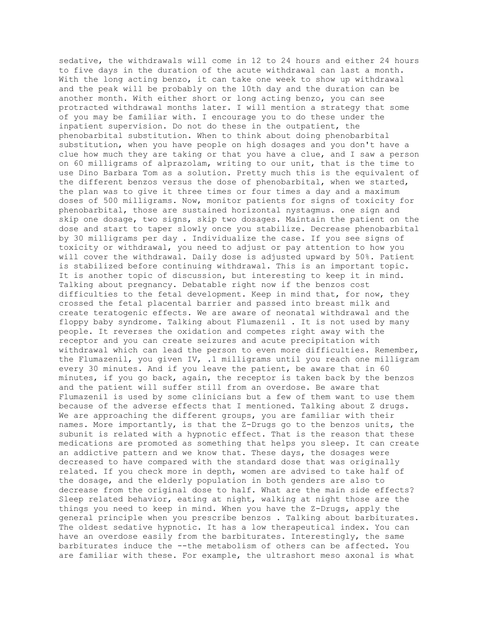sedative, the withdrawals will come in 12 to 24 hours and either 24 hours to five days in the duration of the acute withdrawal can last a month. With the long acting benzo, it can take one week to show up withdrawal and the peak will be probably on the 10th day and the duration can be another month. With either short or long acting benzo, you can see protracted withdrawal months later. I will mention a strategy that some of you may be familiar with. I encourage you to do these under the inpatient supervision. Do not do these in the outpatient, the phenobarbital substitution. When to think about doing phenobarbital substitution, when you have people on high dosages and you don't have a clue how much they are taking or that you have a clue, and I saw a person on 60 milligrams of alprazolam, writing to our unit, that is the time to use Dino Barbara Tom as a solution. Pretty much this is the equivalent of the different benzos versus the dose of phenobarbital, when we started, the plan was to give it three times or four times a day and a maximum doses of 500 milligrams. Now, monitor patients for signs of toxicity for phenobarbital, those are sustained horizontal nystagmus. one sign and skip one dosage, two signs, skip two dosages. Maintain the patient on the dose and start to taper slowly once you stabilize. Decrease phenobarbital by 30 milligrams per day . Individualize the case. If you see signs of toxicity or withdrawal, you need to adjust or pay attention to how you will cover the withdrawal. Daily dose is adjusted upward by 50%. Patient is stabilized before continuing withdrawal. This is an important topic. It is another topic of discussion, but interesting to keep it in mind. Talking about pregnancy. Debatable right now if the benzos cost difficulties to the fetal development. Keep in mind that, for now, they crossed the fetal placental barrier and passed into breast milk and create teratogenic effects. We are aware of neonatal withdrawal and the floppy baby syndrome. Talking about Flumazenil . It is not used by many people. It reverses the oxidation and competes right away with the receptor and you can create seizures and acute precipitation with withdrawal which can lead the person to even more difficulties. Remember, the Flumazenil, you given IV, .1 milligrams until you reach one milligram every 30 minutes. And if you leave the patient, be aware that in 60 minutes, if you go back, again, the receptor is taken back by the benzos and the patient will suffer still from an overdose. Be aware that Flumazenil is used by some clinicians but a few of them want to use them because of the adverse effects that I mentioned. Talking about Z drugs. We are approaching the different groups, you are familiar with their names. More importantly, is that the Z-Drugs go to the benzos units, the subunit is related with a hypnotic effect. That is the reason that these medications are promoted as something that helps you sleep. It can create an addictive pattern and we know that. These days, the dosages were decreased to have compared with the standard dose that was originally related. If you check more in depth, women are advised to take half of the dosage, and the elderly population in both genders are also to decrease from the original dose to half. What are the main side effects? Sleep related behavior, eating at night, walking at night those are the things you need to keep in mind. When you have the Z-Drugs, apply the general principle when you prescribe benzos . Talking about barbiturates. The oldest sedative hypnotic. It has a low therapeutical index. You can have an overdose easily from the barbiturates. Interestingly, the same barbiturates induce the --the metabolism of others can be affected. You are familiar with these. For example, the ultrashort meso axonal is what